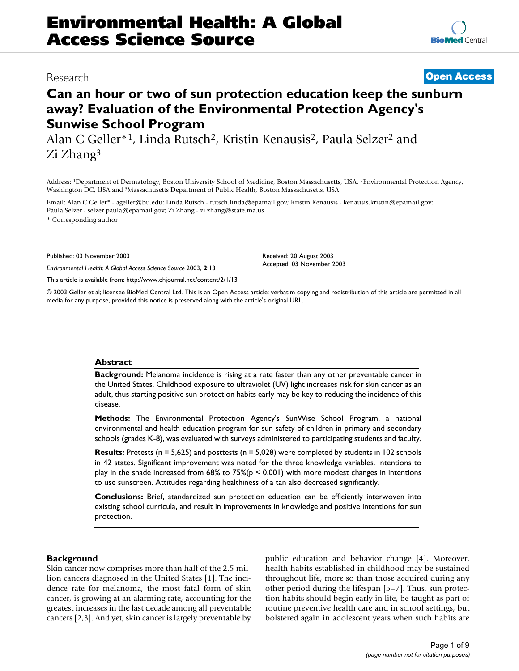# Research **[Open Access](http://www.biomedcentral.com/info/about/charter/)**

# **Can an hour or two of sun protection education keep the sunburn away? Evaluation of the Environmental Protection Agency's Sunwise School Program**

Alan C Geller\*1, Linda Rutsch2, Kristin Kenausis2, Paula Selzer2 and Zi Zhang3

Address: 1Department of Dermatology, Boston University School of Medicine, Boston Massachusetts, USA, 2Environmental Protection Agency, Washington DC, USA and 3Massachusetts Department of Public Health, Boston Massachusetts, USA

Email: Alan C Geller\* - ageller@bu.edu; Linda Rutsch - rutsch.linda@epamail.gov; Kristin Kenausis - kenausis.kristin@epamail.gov; Paula Selzer - selzer.paula@epamail.gov; Zi Zhang - zi.zhang@state.ma.us

\* Corresponding author

Published: 03 November 2003

*Environmental Health: A Global Access Science Source* 2003, **2**:13

[This article is available from: http://www.ehjournal.net/content/2/1/13](http://www.ehjournal.net/content/2/1/13)

Received: 20 August 2003 Accepted: 03 November 2003

© 2003 Geller et al; licensee BioMed Central Ltd. This is an Open Access article: verbatim copying and redistribution of this article are permitted in all media for any purpose, provided this notice is preserved along with the article's original URL.

# **Abstract**

**Background:** Melanoma incidence is rising at a rate faster than any other preventable cancer in the United States. Childhood exposure to ultraviolet (UV) light increases risk for skin cancer as an adult, thus starting positive sun protection habits early may be key to reducing the incidence of this disease.

**Methods:** The Environmental Protection Agency's SunWise School Program, a national environmental and health education program for sun safety of children in primary and secondary schools (grades K-8), was evaluated with surveys administered to participating students and faculty.

**Results:** Pretests (n = 5,625) and posttests (n = 5,028) were completed by students in 102 schools in 42 states. Significant improvement was noted for the three knowledge variables. Intentions to play in the shade increased from  $68\%$  to  $75\%$   $(p < 0.001)$  with more modest changes in intentions to use sunscreen. Attitudes regarding healthiness of a tan also decreased significantly.

**Conclusions:** Brief, standardized sun protection education can be efficiently interwoven into existing school curricula, and result in improvements in knowledge and positive intentions for sun protection.

# **Background**

Skin cancer now comprises more than half of the 2.5 million cancers diagnosed in the United States [1]. The incidence rate for melanoma, the most fatal form of skin cancer, is growing at an alarming rate, accounting for the greatest increases in the last decade among all preventable cancers [2,3]. And yet, skin cancer is largely preventable by public education and behavior change [4]. Moreover, health habits established in childhood may be sustained throughout life, more so than those acquired during any other period during the lifespan [5–7]. Thus, sun protection habits should begin early in life, be taught as part of routine preventive health care and in school settings, but bolstered again in adolescent years when such habits are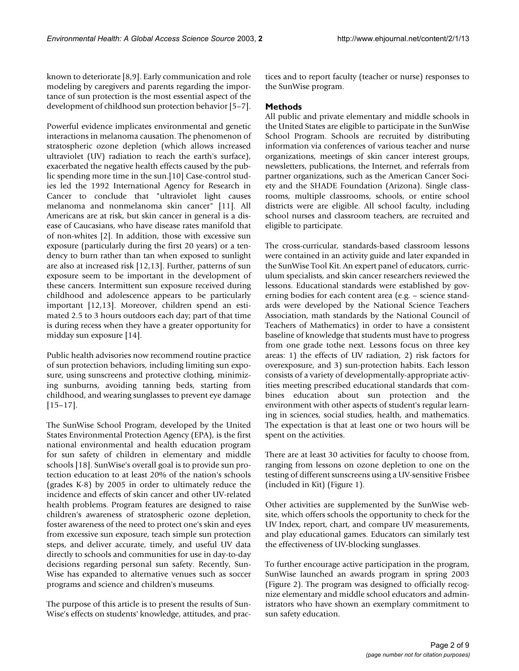known to deteriorate [8,9]. Early communication and role modeling by caregivers and parents regarding the importance of sun protection is the most essential aspect of the development of childhood sun protection behavior [5–7].

Powerful evidence implicates environmental and genetic interactions in melanoma causation. The phenomenon of stratospheric ozone depletion (which allows increased ultraviolet (UV) radiation to reach the earth's surface), exacerbated the negative health effects caused by the public spending more time in the sun.[10] Case-control studies led the 1992 International Agency for Research in Cancer to conclude that "ultraviolet light causes melanoma and nonmelanoma skin cancer" [11]. All Americans are at risk, but skin cancer in general is a disease of Caucasians, who have disease rates manifold that of non-whites [2]. In addition, those with excessive sun exposure (particularly during the first 20 years) or a tendency to burn rather than tan when exposed to sunlight are also at increased risk [12,13]. Further, patterns of sun exposure seem to be important in the development of these cancers. Intermittent sun exposure received during childhood and adolescence appears to be particularly important [12,13]. Moreover, children spend an estimated 2.5 to 3 hours outdoors each day; part of that time is during recess when they have a greater opportunity for midday sun exposure [14].

Public health advisories now recommend routine practice of sun protection behaviors, including limiting sun exposure, using sunscreens and protective clothing, minimizing sunburns, avoiding tanning beds, starting from childhood, and wearing sunglasses to prevent eye damage [15–17].

The SunWise School Program, developed by the United States Environmental Protection Agency (EPA), is the first national environmental and health education program for sun safety of children in elementary and middle schools [18]. SunWise's overall goal is to provide sun protection education to at least 20% of the nation's schools (grades K-8) by 2005 in order to ultimately reduce the incidence and effects of skin cancer and other UV-related health problems. Program features are designed to raise children's awareness of stratospheric ozone depletion, foster awareness of the need to protect one's skin and eyes from excessive sun exposure, teach simple sun protection steps, and deliver accurate, timely, and useful UV data directly to schools and communities for use in day-to-day decisions regarding personal sun safety. Recently, Sun-Wise has expanded to alternative venues such as soccer programs and science and children's museums.

The purpose of this article is to present the results of Sun-Wise's effects on students' knowledge, attitudes, and practices and to report faculty (teacher or nurse) responses to the SunWise program.

# **Methods**

All public and private elementary and middle schools in the United States are eligible to participate in the SunWise School Program. Schools are recruited by distributing information via conferences of various teacher and nurse organizations, meetings of skin cancer interest groups, newsletters, publications, the Internet, and referrals from partner organizations, such as the American Cancer Society and the SHADE Foundation (Arizona). Single classrooms, multiple classrooms, schools, or entire school districts were are eligible. All school faculty, including school nurses and classroom teachers, are recruited and eligible to participate.

The cross-curricular, standards-based classroom lessons were contained in an activity guide and later expanded in the SunWise Tool Kit. An expert panel of educators, curriculum specialists, and skin cancer researchers reviewed the lessons. Educational standards were established by governing bodies for each content area (e.g. – science standards were developed by the National Science Teachers Association, math standards by the National Council of Teachers of Mathematics) in order to have a consistent baseline of knowledge that students must have to progress from one grade tothe next. Lessons focus on three key areas: 1) the effects of UV radiation, 2) risk factors for overexposure, and 3) sun-protection habits. Each lesson consists of a variety of developmentally-appropriate activities meeting prescribed educational standards that combines education about sun protection and the environment with other aspects of student's regular learning in sciences, social studies, health, and mathematics. The expectation is that at least one or two hours will be spent on the activities.

There are at least 30 activities for faculty to choose from, ranging from lessons on ozone depletion to one on the testing of different sunscreens using a UV-sensitive Frisbee (included in Kit) (Figure [1](#page-2-0)).

Other activities are supplemented by the SunWise website, which offers schools the opportunity to check for the UV Index, report, chart, and compare UV measurements, and play educational games. Educators can similarly test the effectiveness of UV-blocking sunglasses.

To further encourage active participation in the program, SunWise launched an awards program in spring 2003 (Figure 2). The program was designed to officially recognize elementary and middle school educators and administrators who have shown an exemplary commitment to sun safety education.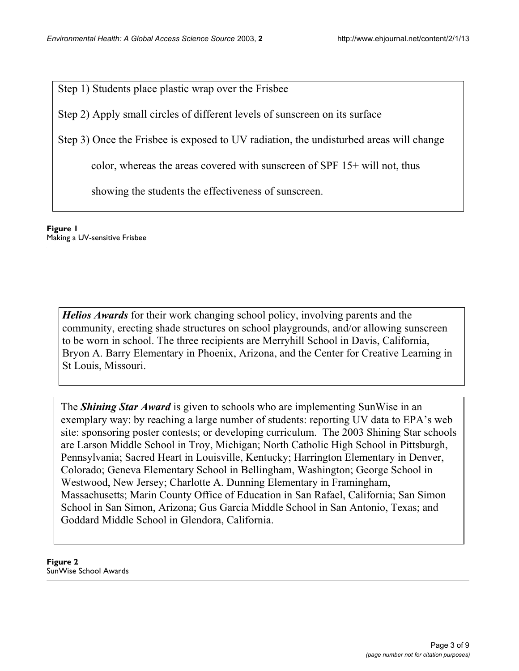<span id="page-2-0"></span>Step 1) Students place plastic wrap over the Frisbee

Step 2) Apply small circles of different levels of sunscreen on its surface

Step 3) Once the Frisbee is exposed to UV radiation, the undisturbed areas will change

color, whereas the areas covered with sunscreen of SPF 15+ will not, thus

showing the students the effectiveness of sunscreen.

# **Figure 1**

Making a UV-sensitive Frisbee

*Helios Awards* for their work changing school policy, involving parents and the community, erecting shade structures on school playgrounds, and/or allowing sunscreen to be worn in school. The three recipients are Merryhill School in Davis, California, Bryon A. Barry Elementary in Phoenix, Arizona, and the Center for Creative Learning in St Louis, Missouri.

The *Shining Star Award* is given to schools who are implementing SunWise in an exemplary way: by reaching a large number of students: reporting UV data to EPA's web site: sponsoring poster contests; or developing curriculum. The 2003 Shining Star schools are Larson Middle School in Troy, Michigan; North Catholic High School in Pittsburgh, Pennsylvania; Sacred Heart in Louisville, Kentucky; Harrington Elementary in Denver, Colorado; Geneva Elementary School in Bellingham, Washington; George School in Westwood, New Jersey; Charlotte A. Dunning Elementary in Framingham, Massachusetts; Marin County Office of Education in San Rafael, California; San Simon School in San Simon, Arizona; Gus Garcia Middle School in San Antonio, Texas; and Goddard Middle School in Glendora, California.

**Figure 2** SunWise School Awards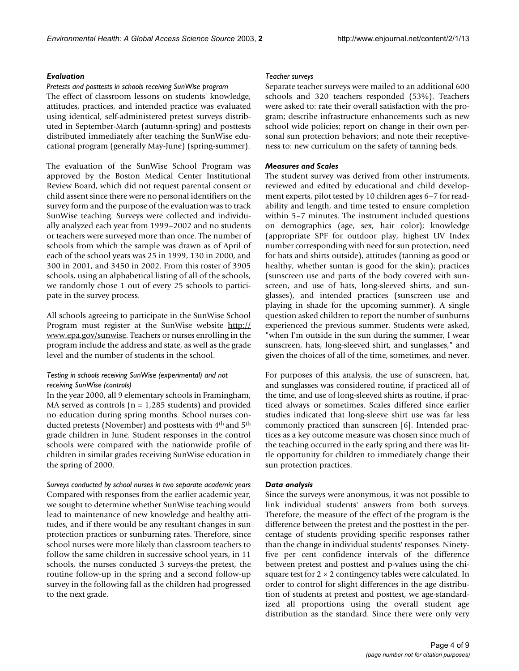## *Evaluation*

# *Pretests and posttests in schools receiving SunWise program*

The effect of classroom lessons on students' knowledge, attitudes, practices, and intended practice was evaluated using identical, self-administered pretest surveys distributed in September-March (autumn-spring) and posttests distributed immediately after teaching the SunWise educational program (generally May-June) (spring-summer).

The evaluation of the SunWise School Program was approved by the Boston Medical Center Institutional Review Board, which did not request parental consent or child assent since there were no personal identifiers on the survey form and the purpose of the evaluation was to track SunWise teaching. Surveys were collected and individually analyzed each year from 1999–2002 and no students or teachers were surveyed more than once. The number of schools from which the sample was drawn as of April of each of the school years was 25 in 1999, 130 in 2000, and 300 in 2001, and 3450 in 2002. From this roster of 3905 schools, using an alphabetical listing of all of the schools, we randomly chose 1 out of every 25 schools to participate in the survey process.

All schools agreeing to participate in the SunWise School Program must register at the SunWise website [http://](http://www.epa.gov/sunwise) [www.epa.gov/sunwise.](http://www.epa.gov/sunwise) Teachers or nurses enrolling in the program include the address and state, as well as the grade level and the number of students in the school.

# *Testing in schools receiving SunWise (experimental) and not receiving SunWise (controls)*

In the year 2000, all 9 elementary schools in Framingham, MA served as controls ( $n = 1,285$  students) and provided no education during spring months. School nurses conducted pretests (November) and posttests with 4th and 5th grade children in June. Student responses in the control schools were compared with the nationwide profile of children in similar grades receiving SunWise education in the spring of 2000.

*Surveys conducted by school nurses in two separate academic years* Compared with responses from the earlier academic year, we sought to determine whether SunWise teaching would lead to maintenance of new knowledge and healthy attitudes, and if there would be any resultant changes in sun protection practices or sunburning rates. Therefore, since school nurses were more likely than classroom teachers to follow the same children in successive school years, in 11 schools, the nurses conducted 3 surveys-the pretest, the routine follow-up in the spring and a second follow-up survey in the following fall as the children had progressed to the next grade.

#### *Teacher surveys*

Separate teacher surveys were mailed to an additional 600 schools and 320 teachers responded (53%). Teachers were asked to: rate their overall satisfaction with the program; describe infrastructure enhancements such as new school wide policies; report on change in their own personal sun protection behaviors; and note their receptiveness to: new curriculum on the safety of tanning beds.

## *Measures and Scales*

The student survey was derived from other instruments, reviewed and edited by educational and child development experts, pilot tested by 10 children ages 6–7 for readability and length, and time tested to ensure completion within 5–7 minutes. The instrument included questions on demographics (age, sex, hair color); knowledge (appropriate SPF for outdoor play, highest UV Index number corresponding with need for sun protection, need for hats and shirts outside), attitudes (tanning as good or healthy, whether suntan is good for the skin); practices (sunscreen use and parts of the body covered with sunscreen, and use of hats, long-sleeved shirts, and sunglasses), and intended practices (sunscreen use and playing in shade for the upcoming summer). A single question asked children to report the number of sunburns experienced the previous summer. Students were asked, "when I'm outside in the sun during the summer, I wear sunscreen, hats, long-sleeved shirt, and sunglasses," and given the choices of all of the time, sometimes, and never.

For purposes of this analysis, the use of sunscreen, hat, and sunglasses was considered routine, if practiced all of the time, and use of long-sleeved shirts as routine, if practiced always or sometimes. Scales differed since earlier studies indicated that long-sleeve shirt use was far less commonly practiced than sunscreen [6]. Intended practices as a key outcome measure was chosen since much of the teaching occurred in the early spring and there was little opportunity for children to immediately change their sun protection practices.

## *Data analysis*

Since the surveys were anonymous, it was not possible to link individual students' answers from both surveys. Therefore, the measure of the effect of the program is the difference between the pretest and the posttest in the percentage of students providing specific responses rather than the change in individual students' responses. Ninetyfive per cent confidence intervals of the difference between pretest and posttest and p-values using the chisquare test for  $2 \times 2$  contingency tables were calculated. In order to control for slight differences in the age distribution of students at pretest and posttest, we age-standardized all proportions using the overall student age distribution as the standard. Since there were only very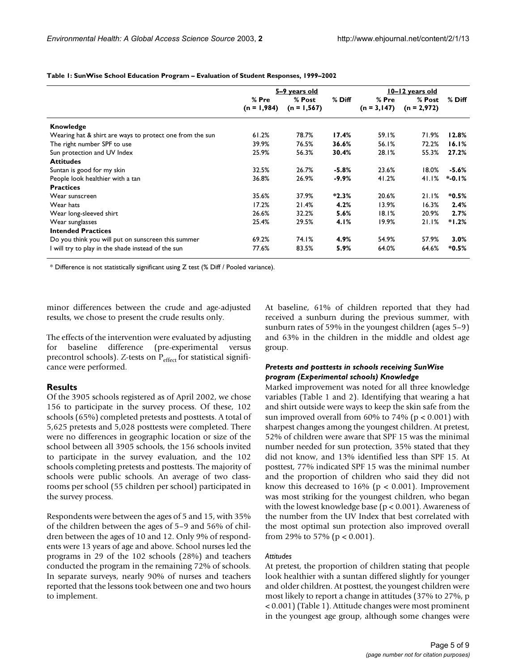|                                                          | 5-9 vears old          |                          |          | 10-12 years old         |                         |           |
|----------------------------------------------------------|------------------------|--------------------------|----------|-------------------------|-------------------------|-----------|
|                                                          | % Pre<br>$(n = 1,984)$ | % Post<br>$(n = 1, 567)$ | $%$ Diff | % Pre<br>$(n = 3, 147)$ | % Post<br>$(n = 2,972)$ | $%$ Diff  |
| Knowledge                                                |                        |                          |          |                         |                         |           |
| Wearing hat & shirt are ways to protect one from the sun | 61.2%                  | 78.7%                    | 17.4%    | 59.1%                   | 71.9%                   | 12.8%     |
| The right number SPF to use                              | 39.9%                  | 76.5%                    | 36.6%    | 56.1%                   | 72.2%                   | 16.1%     |
| Sun protection and UV Index                              | 25.9%                  | 56.3%                    | 30.4%    | 28.1%                   | 55.3%                   | 27.2%     |
| <b>Attitudes</b>                                         |                        |                          |          |                         |                         |           |
| Suntan is good for my skin                               | 32.5%                  | 26.7%                    | $-5.8%$  | 23.6%                   | 18.0%                   | $-5.6%$   |
| People look healthier with a tan                         | 36.8%                  | 26.9%                    | $-9.9\%$ | 41.2%                   | 41.1%                   | $*$ -0.1% |
| <b>Practices</b>                                         |                        |                          |          |                         |                         |           |
| Wear sunscreen                                           | 35.6%                  | 37.9%                    | $*2.3%$  | 20.6%                   | 21.1%                   | $*0.5%$   |
| Wear hats                                                | 17.2%                  | 21.4%                    | 4.2%     | 13.9%                   | 16.3%                   | 2.4%      |
| Wear long-sleeved shirt                                  | 26.6%                  | 32.2%                    | 5.6%     | 18.1%                   | 20.9%                   | 2.7%      |
| Wear sunglasses                                          | 25.4%                  | 29.5%                    | 4.1%     | 19.9%                   | 21.1%                   | $*1.2%$   |
| <b>Intended Practices</b>                                |                        |                          |          |                         |                         |           |
| Do you think you will put on sunscreen this summer       | 69.2%                  | 74.I%                    | 4.9%     | 54.9%                   | 57.9%                   | 3.0%      |
| I will try to play in the shade instead of the sun       | 77.6%                  | 83.5%                    | 5.9%     | 64.0%                   | 64.6%                   | *0.5%     |

**Table 1: SunWise School Education Program – Evaluation of Student Responses, 1999–2002**

\* Difference is not statistically significant using Z test (% Diff / Pooled variance).

minor differences between the crude and age-adjusted results, we chose to present the crude results only.

The effects of the intervention were evaluated by adjusting for baseline difference (pre-experimental versus precontrol schools). Z-tests on P<sub>effect</sub> for statistical significance were performed.

## **Results**

Of the 3905 schools registered as of April 2002, we chose 156 to participate in the survey process. Of these, 102 schools (65%) completed pretests and posttests. A total of 5,625 pretests and 5,028 posttests were completed. There were no differences in geographic location or size of the school between all 3905 schools, the 156 schools invited to participate in the survey evaluation, and the 102 schools completing pretests and posttests. The majority of schools were public schools. An average of two classrooms per school (55 children per school) participated in the survey process.

Respondents were between the ages of 5 and 15, with 35% of the children between the ages of 5–9 and 56% of children between the ages of 10 and 12. Only 9% of respondents were 13 years of age and above. School nurses led the programs in 29 of the 102 schools (28%) and teachers conducted the program in the remaining 72% of schools. In separate surveys, nearly 90% of nurses and teachers reported that the lessons took between one and two hours to implement.

At baseline, 61% of children reported that they had received a sunburn during the previous summer, with sunburn rates of 59% in the youngest children (ages 5–9) and 63% in the children in the middle and oldest age group.

# *Pretests and posttests in schools receiving SunWise program (Experimental schools) Knowledge*

Marked improvement was noted for all three knowledge variables (Table 1 and 2). Identifying that wearing a hat and shirt outside were ways to keep the skin safe from the sun improved overall from  $60\%$  to  $74\%$  ( $p < 0.001$ ) with sharpest changes among the youngest children. At pretest, 52% of children were aware that SPF 15 was the minimal number needed for sun protection, 35% stated that they did not know, and 13% identified less than SPF 15. At posttest, 77% indicated SPF 15 was the minimal number and the proportion of children who said they did not know this decreased to  $16\%$  (p < 0.001). Improvement was most striking for the youngest children, who began with the lowest knowledge base ( $p < 0.001$ ). Awareness of the number from the UV Index that best correlated with the most optimal sun protection also improved overall from 29% to 57% ( $p < 0.001$ ).

## *Attitudes*

At pretest, the proportion of children stating that people look healthier with a suntan differed slightly for younger and older children. At posttest, the youngest children were most likely to report a change in attitudes (37% to 27%, p < 0.001) (Table 1). Attitude changes were most prominent in the youngest age group, although some changes were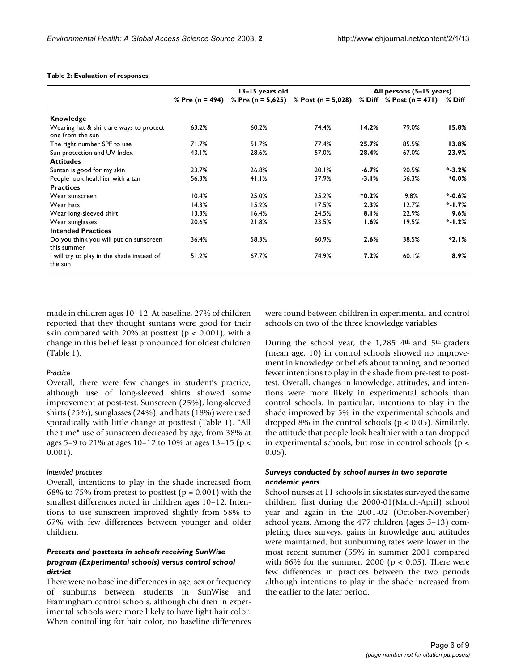#### **Table 2: Evaluation of responses**

|                                                             | 13–15 years old |       |                                                      |         | All persons (5–15 years) |           |  |  |
|-------------------------------------------------------------|-----------------|-------|------------------------------------------------------|---------|--------------------------|-----------|--|--|
|                                                             |                 |       | % Pre (n = 494) % Pre (n = 5,625) % Post (n = 5,028) |         | % Diff $% Post(n = 471)$ | $%$ Diff  |  |  |
| Knowledge                                                   |                 |       |                                                      |         |                          |           |  |  |
| Wearing hat & shirt are ways to protect<br>one from the sun | 63.2%           | 60.2% | 74.4%                                                | 14.2%   | 79.0%                    | 15.8%     |  |  |
| The right number SPF to use                                 | 71.7%           | 51.7% | 77.4%                                                | 25.7%   | 85.5%                    | 13.8%     |  |  |
| Sun protection and UV Index                                 | 43.1%           | 28.6% | 57.0%                                                | 28.4%   | 67.0%                    | 23.9%     |  |  |
| <b>Attitudes</b>                                            |                 |       |                                                      |         |                          |           |  |  |
| Suntan is good for my skin                                  | 23.7%           | 26.8% | 20.1%                                                | $-6.7%$ | 20.5%                    | $* -3.2%$ |  |  |
| People look healthier with a tan                            | 56.3%           | 41.1% | 37.9%                                                | $-3.1%$ | 56.3%                    | $*0.0\%$  |  |  |
| <b>Practices</b>                                            |                 |       |                                                      |         |                          |           |  |  |
| Wear sunscreen                                              | 10.4%           | 25.0% | 25.2%                                                | $*0.2%$ | 9.8%                     | $*$ -0.6% |  |  |
| Wear hats                                                   | 14.3%           | 15.2% | 17.5%                                                | 2.3%    | 12.7%                    | $*$ -1.7% |  |  |
| Wear long-sleeved shirt                                     | 13.3%           | 16.4% | 24.5%                                                | 8.1%    | 22.9%                    | 9.6%      |  |  |
| Wear sunglasses                                             | 20.6%           | 21.8% | 23.5%                                                | 1.6%    | 19.5%                    | $*$ -1.2% |  |  |
| <b>Intended Practices</b>                                   |                 |       |                                                      |         |                          |           |  |  |
| Do you think you will put on sunscreen<br>this summer       | 36.4%           | 58.3% | 60.9%                                                | 2.6%    | 38.5%                    | $*2.1%$   |  |  |
| I will try to play in the shade instead of<br>the sun       | 51.2%           | 67.7% | 74.9%                                                | 7.2%    | 60.1%                    | 8.9%      |  |  |

made in children ages 10–12. At baseline, 27% of children reported that they thought suntans were good for their skin compared with 20% at posttest ( $p < 0.001$ ), with a change in this belief least pronounced for oldest children (Table 1).

## *Practice*

Overall, there were few changes in student's practice, although use of long-sleeved shirts showed some improvement at post-test. Sunscreen (25%), long-sleeved shirts (25%), sunglasses (24%), and hats (18%) were used sporadically with little change at posttest (Table 1). "All the time" use of sunscreen decreased by age, from 38% at ages 5–9 to 21% at ages 10–12 to 10% at ages 13–15 (p < 0.001).

# *Intended practices*

Overall, intentions to play in the shade increased from 68% to 75% from pretest to posttest ( $p = 0.001$ ) with the smallest differences noted in children ages 10–12. Intentions to use sunscreen improved slightly from 58% to 67% with few differences between younger and older children.

# *Pretests and posttests in schools receiving SunWise program (Experimental schools) versus control school district*

There were no baseline differences in age, sex or frequency of sunburns between students in SunWise and Framingham control schools, although children in experimental schools were more likely to have light hair color. When controlling for hair color, no baseline differences were found between children in experimental and control schools on two of the three knowledge variables.

During the school year, the 1,285 4<sup>th</sup> and 5<sup>th</sup> graders (mean age, 10) in control schools showed no improvement in knowledge or beliefs about tanning, and reported fewer intentions to play in the shade from pre-test to posttest. Overall, changes in knowledge, attitudes, and intentions were more likely in experimental schools than control schools. In particular, intentions to play in the shade improved by 5% in the experimental schools and dropped 8% in the control schools ( $p < 0.05$ ). Similarly, the attitude that people look healthier with a tan dropped in experimental schools, but rose in control schools (p < 0.05).

# *Surveys conducted by school nurses in two separate academic years*

School nurses at 11 schools in six states surveyed the same children, first during the 2000-01(March-April) school year and again in the 2001-02 (October-November) school years. Among the 477 children (ages 5–13) completing three surveys, gains in knowledge and attitudes were maintained, but sunburning rates were lower in the most recent summer (55% in summer 2001 compared with 66% for the summer, 2000 ( $p < 0.05$ ). There were few differences in practices between the two periods although intentions to play in the shade increased from the earlier to the later period.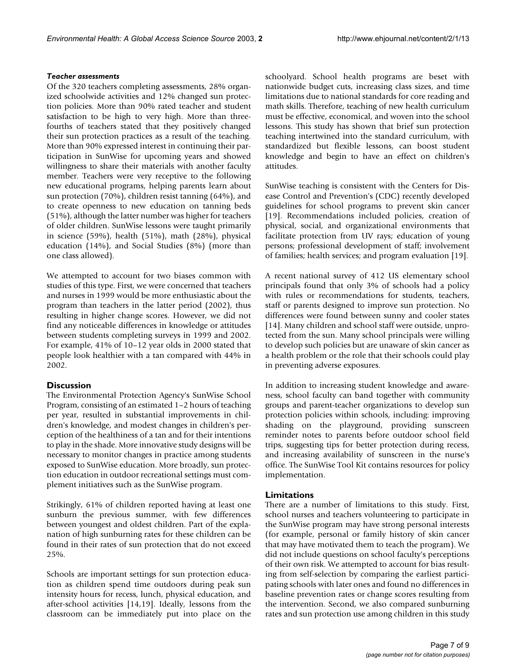# *Teacher assessments*

Of the 320 teachers completing assessments, 28% organized schoolwide activities and 12% changed sun protection policies. More than 90% rated teacher and student satisfaction to be high to very high. More than threefourths of teachers stated that they positively changed their sun protection practices as a result of the teaching. More than 90% expressed interest in continuing their participation in SunWise for upcoming years and showed willingness to share their materials with another faculty member. Teachers were very receptive to the following new educational programs, helping parents learn about sun protection (70%), children resist tanning (64%), and to create openness to new education on tanning beds (51%), although the latter number was higher for teachers of older children. SunWise lessons were taught primarily in science (59%), health (51%), math (28%), physical education (14%), and Social Studies (8%) (more than one class allowed).

We attempted to account for two biases common with studies of this type. First, we were concerned that teachers and nurses in 1999 would be more enthusiastic about the program than teachers in the latter period (2002), thus resulting in higher change scores. However, we did not find any noticeable differences in knowledge or attitudes between students completing surveys in 1999 and 2002. For example, 41% of 10–12 year olds in 2000 stated that people look healthier with a tan compared with 44% in 2002.

# **Discussion**

The Environmental Protection Agency's SunWise School Program, consisting of an estimated 1–2 hours of teaching per year, resulted in substantial improvements in children's knowledge, and modest changes in children's perception of the healthiness of a tan and for their intentions to play in the shade. More innovative study designs will be necessary to monitor changes in practice among students exposed to SunWise education. More broadly, sun protection education in outdoor recreational settings must complement initiatives such as the SunWise program.

Strikingly, 61% of children reported having at least one sunburn the previous summer, with few differences between youngest and oldest children. Part of the explanation of high sunburning rates for these children can be found in their rates of sun protection that do not exceed 25%.

Schools are important settings for sun protection education as children spend time outdoors during peak sun intensity hours for recess, lunch, physical education, and after-school activities [14,19]. Ideally, lessons from the classroom can be immediately put into place on the schoolyard. School health programs are beset with nationwide budget cuts, increasing class sizes, and time limitations due to national standards for core reading and math skills. Therefore, teaching of new health curriculum must be effective, economical, and woven into the school lessons. This study has shown that brief sun protection teaching intertwined into the standard curriculum, with standardized but flexible lessons, can boost student knowledge and begin to have an effect on children's attitudes.

SunWise teaching is consistent with the Centers for Disease Control and Prevention's (CDC) recently developed guidelines for school programs to prevent skin cancer [19]. Recommendations included policies, creation of physical, social, and organizational environments that facilitate protection from UV rays; education of young persons; professional development of staff; involvement of families; health services; and program evaluation [19].

A recent national survey of 412 US elementary school principals found that only 3% of schools had a policy with rules or recommendations for students, teachers, staff or parents designed to improve sun protection. No differences were found between sunny and cooler states [14]. Many children and school staff were outside, unprotected from the sun. Many school principals were willing to develop such policies but are unaware of skin cancer as a health problem or the role that their schools could play in preventing adverse exposures.

In addition to increasing student knowledge and awareness, school faculty can band together with community groups and parent-teacher organizations to develop sun protection policies within schools, including: improving shading on the playground, providing sunscreen reminder notes to parents before outdoor school field trips, suggesting tips for better protection during recess, and increasing availability of sunscreen in the nurse's office. The SunWise Tool Kit contains resources for policy implementation.

# **Limitations**

There are a number of limitations to this study. First, school nurses and teachers volunteering to participate in the SunWise program may have strong personal interests (for example, personal or family history of skin cancer that may have motivated them to teach the program). We did not include questions on school faculty's perceptions of their own risk. We attempted to account for bias resulting from self-selection by comparing the earliest participating schools with later ones and found no differences in baseline prevention rates or change scores resulting from the intervention. Second, we also compared sunburning rates and sun protection use among children in this study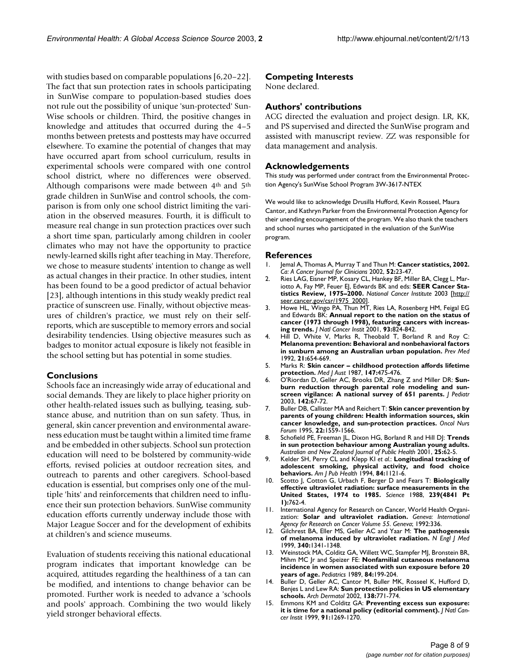with studies based on comparable populations [6,20–22]. The fact that sun protection rates in schools participating in SunWise compare to population-based studies does not rule out the possibility of unique 'sun-protected' Sun-Wise schools or children. Third, the positive changes in knowledge and attitudes that occurred during the 4–5 months between pretests and posttests may have occurred elsewhere. To examine the potential of changes that may have occurred apart from school curriculum, results in experimental schools were compared with one control school district, where no differences were observed. Although comparisons were made between 4<sup>th</sup> and 5<sup>th</sup> grade children in SunWise and control schools, the comparison is from only one school district limiting the variation in the observed measures. Fourth, it is difficult to measure real change in sun protection practices over such a short time span, particularly among children in cooler climates who may not have the opportunity to practice newly-learned skills right after teaching in May. Therefore, we chose to measure students' intention to change as well as actual changes in their practice. In other studies, intent has been found to be a good predictor of actual behavior [23], although intentions in this study weakly predict real practice of sunscreen use. Finally, without objective measures of children's practice, we must rely on their selfreports, which are susceptible to memory errors and social desirability tendencies. Using objective measures such as badges to monitor actual exposure is likely not feasible in the school setting but has potential in some studies.

# **Conclusions**

Schools face an increasingly wide array of educational and social demands. They are likely to place higher priority on other health-related issues such as bullying, teasing, substance abuse, and nutrition than on sun safety. Thus, in general, skin cancer prevention and environmental awareness education must be taught within a limited time frame and be embedded in other subjects. School sun protection education will need to be bolstered by community-wide efforts, revised policies at outdoor recreation sites, and outreach to parents and other caregivers. School-based education is essential, but comprises only one of the multiple 'hits' and reinforcements that children need to influence their sun protection behaviors. SunWise community education efforts currently underway include those with Major League Soccer and for the development of exhibits at children's and science museums.

Evaluation of students receiving this national educational program indicates that important knowledge can be acquired, attitudes regarding the healthiness of a tan can be modified, and intentions to change behavior can be promoted. Further work is needed to advance a 'schools and pools' approach. Combining the two would likely yield stronger behavioral effects.

# **Competing Interests**

None declared.

# **Authors' contributions**

ACG directed the evaluation and project design. LR, KK, and PS supervised and directed the SunWise program and assisted with manuscript review. ZZ was responsible for data management and analysis.

## **Acknowledgements**

This study was performed under contract from the Environmental Protection Agency's SunWise School Program 3W-3617-NTEX

We would like to acknowledge Drusilla Hufford, Kevin Rosseel, Maura Cantor, and Kathryn Parker from the Environmental Protection Agency for their unending encouragement of the program. We also thank the teachers and school nurses who participated in the evaluation of the SunWise program.

#### **References**

- 1. Jemal A, Thomas A, Murray T and Thun M: **[Cancer statistics, 2002.](http://www.ncbi.nlm.nih.gov/entrez/query.fcgi?cmd=Retrieve&db=PubMed&dopt=Abstract&list_uids=11814064)** *Ca: A Cancer Journal for Clinicians* 2002, **52:**23-47.
- 2. Ries LAG, Eisner MP, Kosary CL, Hankey BF, Miller BA, Clegg L, Mariotto A, Fay MP, Feuer El, Edwards BK and eds: **SEER Cancer Statistics Review, 1975–2000.** *National Cancer Institute* 2003 [\[http://](http://seer.cancer.gov/csr/1975_2000) [seer.cancer.gov/csr/1975\\_2000](http://seer.cancer.gov/csr/1975_2000)].
- 3. Howe HL, Wingo PA, Thun MT, Ries LA, Rosenberg HM, Feigal EG and Edwards BK: **[Annual report to the nation on the status of](http://www.ncbi.nlm.nih.gov/entrez/query.fcgi?cmd=Retrieve&db=PubMed&dopt=Abstract&list_uids=10.1093/jnci/93.11.824) [cancer \(1973 through 1998\), featuring cancers with increas](http://www.ncbi.nlm.nih.gov/entrez/query.fcgi?cmd=Retrieve&db=PubMed&dopt=Abstract&list_uids=10.1093/jnci/93.11.824)[ing trends.](http://www.ncbi.nlm.nih.gov/entrez/query.fcgi?cmd=Retrieve&db=PubMed&dopt=Abstract&list_uids=10.1093/jnci/93.11.824)** *J Natl Cancer Instit* 2001, **93:**824-842.
- 4. Hill D, White V, Marks R, Theobald T, Borland R and Roy C: **[Melanoma prevention: Behavioral and nonbehavioral factors](http://www.ncbi.nlm.nih.gov/entrez/query.fcgi?cmd=Retrieve&db=PubMed&dopt=Abstract&list_uids=1438112) [in sunburn among an Australian urban population.](http://www.ncbi.nlm.nih.gov/entrez/query.fcgi?cmd=Retrieve&db=PubMed&dopt=Abstract&list_uids=1438112)** *Prev Med* 1992, **21:**654-669.
- 5. Marks R: **[Skin cancer childhood protection affords lifetime](http://www.ncbi.nlm.nih.gov/entrez/query.fcgi?cmd=Retrieve&db=PubMed&dopt=Abstract&list_uids=3683258) [protection.](http://www.ncbi.nlm.nih.gov/entrez/query.fcgi?cmd=Retrieve&db=PubMed&dopt=Abstract&list_uids=3683258)** *Med J Aust* 1987, **147:**475-476.
- 6. O'Riordan D, Geller AC, Brooks DR, Zhang Z and Miller DR: **[Sun](http://www.ncbi.nlm.nih.gov/entrez/query.fcgi?cmd=Retrieve&db=PubMed&dopt=Abstract&list_uids=10.1067/mpd.2003.mpd039)[burn reduction through parental role modeling and sun](http://www.ncbi.nlm.nih.gov/entrez/query.fcgi?cmd=Retrieve&db=PubMed&dopt=Abstract&list_uids=10.1067/mpd.2003.mpd039)[screen vigilance: A national survey of 651 parents](http://www.ncbi.nlm.nih.gov/entrez/query.fcgi?cmd=Retrieve&db=PubMed&dopt=Abstract&list_uids=10.1067/mpd.2003.mpd039)[.](http://www.ncbi.nlm.nih.gov/entrez/query.fcgi?cmd=Retrieve&db=PubMed&dopt=Abstract&list_uids=12520258)** *J Pediatr* 2003, **142:**67-72.
- 7. Buller DB, Callister MA and Reichert T: **[Skin cancer prevention by](http://www.ncbi.nlm.nih.gov/entrez/query.fcgi?cmd=Retrieve&db=PubMed&dopt=Abstract&list_uids=8577624) [parents of young children: Health information sources, skin](http://www.ncbi.nlm.nih.gov/entrez/query.fcgi?cmd=Retrieve&db=PubMed&dopt=Abstract&list_uids=8577624) [cancer knowledge, and sun-protection practices.](http://www.ncbi.nlm.nih.gov/entrez/query.fcgi?cmd=Retrieve&db=PubMed&dopt=Abstract&list_uids=8577624)** *Oncol Nurs Forum* 1995, **22:**1559-1566.
- 8. Schofield PE, Freeman JL, Dixon HG, Borland R and Hill DJ: **[Trends](http://www.ncbi.nlm.nih.gov/entrez/query.fcgi?cmd=Retrieve&db=PubMed&dopt=Abstract&list_uids=11297305) [in sun protection behaviour among Australian young adults.](http://www.ncbi.nlm.nih.gov/entrez/query.fcgi?cmd=Retrieve&db=PubMed&dopt=Abstract&list_uids=11297305)** *Australian and New Zealand Journal of Public Health* 2001, **25:**62-5.
- 9. Kelder SH, Perry CL and Klepp KI *et al.*: **[Longitudinal tracking of](http://www.ncbi.nlm.nih.gov/entrez/query.fcgi?cmd=Retrieve&db=PubMed&dopt=Abstract&list_uids=8017536) [adolescent smoking, physical activity, and food choice](http://www.ncbi.nlm.nih.gov/entrez/query.fcgi?cmd=Retrieve&db=PubMed&dopt=Abstract&list_uids=8017536) [behaviors.](http://www.ncbi.nlm.nih.gov/entrez/query.fcgi?cmd=Retrieve&db=PubMed&dopt=Abstract&list_uids=8017536)** *Am J Pub Health* 1994, **84:**1121-6.
- Scotto J, Cotton G, Urbach F, Berger D and Fears T: **[Biologically](http://www.ncbi.nlm.nih.gov/entrez/query.fcgi?cmd=Retrieve&db=PubMed&dopt=Abstract&list_uids=3340857) [effective ultraviolet radiation: surface measurements in the](http://www.ncbi.nlm.nih.gov/entrez/query.fcgi?cmd=Retrieve&db=PubMed&dopt=Abstract&list_uids=3340857) [United States, 1974 to 1985.](http://www.ncbi.nlm.nih.gov/entrez/query.fcgi?cmd=Retrieve&db=PubMed&dopt=Abstract&list_uids=3340857)** *Science* 1988, **239(4841 Pt 1):**762-4.
- 11. International Agency for Research on Cancer, World Health Organization: **Solar and ultraviolet radiation.** *Geneva: International Agency for Research on Cancer Volume 55*. *Geneva*; 1992:336.
- 12. Gilchrest BA, Eller MS, Geller AC and Yaar M: **[The pathogenesis](http://www.ncbi.nlm.nih.gov/entrez/query.fcgi?cmd=Retrieve&db=PubMed&dopt=Abstract&list_uids=10.1056/NEJM199904293401707) [of melanoma induced by ultraviolet radiation](http://www.ncbi.nlm.nih.gov/entrez/query.fcgi?cmd=Retrieve&db=PubMed&dopt=Abstract&list_uids=10.1056/NEJM199904293401707)[.](http://www.ncbi.nlm.nih.gov/entrez/query.fcgi?cmd=Retrieve&db=PubMed&dopt=Abstract&list_uids=10219070)** *N Engl J Med* 1999, **340:**1341-1348.
- 13. Weinstock MA, Colditz GA, Willett WC, Stampfer MJ, Bronstein BR, Mihm MC Jr and Speizer FE: **[Nonfamilial cutaneous melanoma](http://www.ncbi.nlm.nih.gov/entrez/query.fcgi?cmd=Retrieve&db=PubMed&dopt=Abstract&list_uids=2748244) [incidence in women associated with sun exposure before 20](http://www.ncbi.nlm.nih.gov/entrez/query.fcgi?cmd=Retrieve&db=PubMed&dopt=Abstract&list_uids=2748244) [years of age.](http://www.ncbi.nlm.nih.gov/entrez/query.fcgi?cmd=Retrieve&db=PubMed&dopt=Abstract&list_uids=2748244)** *Pediatrics* 1989, **84:**199-204.
- 14. Buller D, Geller AC, Cantor M, Buller MK, Rosseel K, Hufford D, Benjes L and Lew RA: **[Sun protection policies in US elementary](http://www.ncbi.nlm.nih.gov/entrez/query.fcgi?cmd=Retrieve&db=PubMed&dopt=Abstract&list_uids=12056958) [schools.](http://www.ncbi.nlm.nih.gov/entrez/query.fcgi?cmd=Retrieve&db=PubMed&dopt=Abstract&list_uids=12056958)** *Arch Dermatol* 2002, **138:**771-774.
- 15. Emmons KM and Colditz GA: **[Preventing excess sun exposure:](http://www.ncbi.nlm.nih.gov/entrez/query.fcgi?cmd=Retrieve&db=PubMed&dopt=Abstract&list_uids=10.1093/jnci/91.15.1269) [it is time for a national policy \(editorial comment\).](http://www.ncbi.nlm.nih.gov/entrez/query.fcgi?cmd=Retrieve&db=PubMed&dopt=Abstract&list_uids=10.1093/jnci/91.15.1269)** *J Natl Cancer Instit* 1999, **91:**1269-1270.